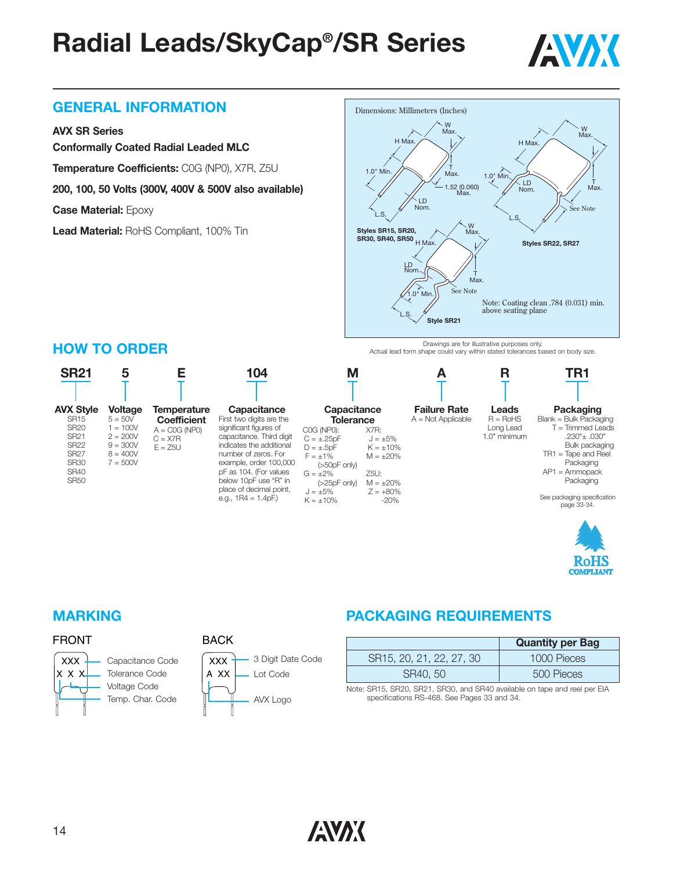

#### **GENERAL INFORMATION**

#### **AVX SR Series**

**Conformally Coated Radial Leaded MLC**

**Temperature Coefficients:** C0G (NP0), X7R, Z5U

**200, 100, 50 Volts (300V, 400V & 500V also available)**

**Case Material:** Epoxy

**Lead Material:** RoHS Compliant, 100% Tin



Drawings are for illustrative purposes only. Actual lead form shape could vary within stated tolerances based on body size.



# 'oHS

#### **HOW TO ORDER**

#### FRONT



BACK

#### **MARKING PACKAGING REQUIREMENTS**

|                          | <b>Quantity per Bag</b> |
|--------------------------|-------------------------|
| SR15, 20, 21, 22, 27, 30 | 1000 Pieces             |
| SR40, 50                 | 500 Pieces              |

Note: SR15, SR20, SR21, SR30, and SR40 available on tape and reel per EIA specifications RS-468. See Pages 33 and 34.

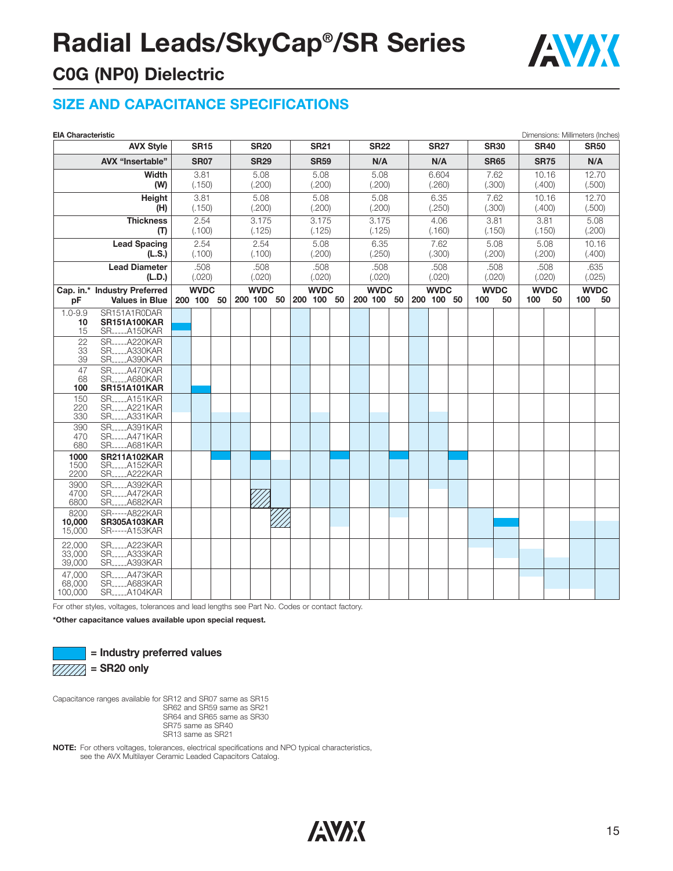

#### **C0G (NP0) Dielectric**

#### **SIZE AND CAPACITANCE SPECIFICATIONS**

| <b>EIA Characteristic</b>              |                                                        |      |                           |      |        |                           |        |      |                           |        |        |                           |        |       |                           |        |             |                   |        |             | Dimensions: Millimeters (Inches) |                     |
|----------------------------------------|--------------------------------------------------------|------|---------------------------|------|--------|---------------------------|--------|------|---------------------------|--------|--------|---------------------------|--------|-------|---------------------------|--------|-------------|-------------------|--------|-------------|----------------------------------|---------------------|
|                                        | <b>AVX Style</b>                                       |      | <b>SR15</b>               |      |        | <b>SR20</b>               |        |      | <b>SR21</b>               |        |        | <b>SR22</b>               |        |       | <b>SR27</b>               |        |             | <b>SR30</b>       |        | <b>SR40</b> |                                  | <b>SR50</b>         |
| <b>AVX "Insertable"</b><br><b>SR07</b> |                                                        |      | <b>SR29</b>               |      |        | <b>SR59</b>               |        |      | N/A                       |        |        | N/A                       |        |       | <b>SR65</b>               |        | <b>SR75</b> |                   | N/A    |             |                                  |                     |
| Width                                  |                                                        | 3.81 |                           | 5.08 |        | 5.08                      |        | 5.08 |                           | 6.604  |        | 7.62                      |        | 10.16 |                           | 12.70  |             |                   |        |             |                                  |                     |
|                                        | (W)                                                    |      | (.150)                    |      | (.200) |                           | (.200) |      |                           | (.200) |        |                           | (.260) |       |                           | (.300) | (.400)      |                   | (.500) |             |                                  |                     |
|                                        | Height                                                 |      | 3.81                      |      |        | 5.08                      |        |      | 5.08                      |        |        | 5.08                      |        |       | 6.35                      |        |             | 7.62              | 10.16  |             | 12.70                            |                     |
|                                        | (H)                                                    |      | (.150)                    |      |        | (.200)                    |        |      | (.200)                    |        |        | (.200)                    |        |       | (.250)                    |        |             | (.300)            | (.400) |             | (.500)                           |                     |
|                                        | <b>Thickness</b>                                       |      | 2.54                      |      |        | 3.175                     |        |      | 3.175                     |        |        | 3.175                     |        |       | 4.06                      |        |             | 3.81              |        | 3.81        |                                  | 5.08                |
|                                        | (T)                                                    |      | (.100)                    |      |        | (.125)                    |        |      | (.125)                    |        |        | (.125)                    |        |       | (.160)                    |        |             | (.150)            |        | (.150)      | (.200)                           |                     |
|                                        | <b>Lead Spacing</b>                                    |      | 2.54                      |      |        | 2.54                      |        |      | 5.08                      |        |        | 6.35                      |        |       | 7.62                      |        |             | 5.08              |        | 5.08        |                                  | 10.16               |
|                                        | (L.S.)                                                 |      | (.100)                    |      |        | (.100)                    |        |      | (.200)                    |        |        | (.250)                    |        |       | (.300)                    |        |             | (.200)            |        | (.200)      |                                  | (.400)              |
|                                        | <b>Lead Diameter</b>                                   |      | .508                      |      |        | .508                      |        |      | .508                      |        |        | .508                      |        |       | .508                      |        |             | .508              |        | .508        |                                  | .635                |
|                                        | (L.D.)                                                 |      | (.020)                    |      | (.020) |                           | (.020) |      | (.020)                    |        | (.020) |                           | (.020) |       | (.020)<br><b>WVDC</b>     |        |             | (.025)            |        |             |                                  |                     |
| pF                                     | Cap. in.* Industry Preferred<br><b>Values in Blue</b>  |      | <b>WVDC</b><br>200 100 50 |      |        | <b>WVDC</b><br>200 100 50 |        |      | <b>WVDC</b><br>200 100 50 |        |        | <b>WVDC</b><br>200 100 50 |        |       | <b>WVDC</b><br>200 100 50 |        | 100         | <b>WVDC</b><br>50 | 100    | 50          | 100                              | <b>WVDC</b><br>- 50 |
| $1.0 - 9.9$                            | SR151A1R0DAR                                           |      |                           |      |        |                           |        |      |                           |        |        |                           |        |       |                           |        |             |                   |        |             |                                  |                     |
| 10                                     | <b>SR151A100KAR</b>                                    |      |                           |      |        |                           |        |      |                           |        |        |                           |        |       |                           |        |             |                   |        |             |                                  |                     |
| 15                                     | <b>SRA150KAR</b>                                       |      |                           |      |        |                           |        |      |                           |        |        |                           |        |       |                           |        |             |                   |        |             |                                  |                     |
| 22                                     | SR.,  A220KAR                                          |      |                           |      |        |                           |        |      |                           |        |        |                           |        |       |                           |        |             |                   |        |             |                                  |                     |
| 33<br>39                               | <b>SRA330KAR</b><br>SR_____A390KAR                     |      |                           |      |        |                           |        |      |                           |        |        |                           |        |       |                           |        |             |                   |        |             |                                  |                     |
| 47                                     | SR_____A470KAR                                         |      |                           |      |        |                           |        |      |                           |        |        |                           |        |       |                           |        |             |                   |        |             |                                  |                     |
| 68                                     | SRA680KAR                                              |      |                           |      |        |                           |        |      |                           |        |        |                           |        |       |                           |        |             |                   |        |             |                                  |                     |
| 100                                    | <b>SR151A101KAR</b>                                    |      |                           |      |        |                           |        |      |                           |        |        |                           |        |       |                           |        |             |                   |        |             |                                  |                     |
| 150<br>220                             | <b>SR</b> <sub>____</sub> _A151KAR<br><b>SRA221KAR</b> |      |                           |      |        |                           |        |      |                           |        |        |                           |        |       |                           |        |             |                   |        |             |                                  |                     |
| 330                                    | SRA331KAR                                              |      |                           |      |        |                           |        |      |                           |        |        |                           |        |       |                           |        |             |                   |        |             |                                  |                     |
| 390                                    | SRA391KAR                                              |      |                           |      |        |                           |        |      |                           |        |        |                           |        |       |                           |        |             |                   |        |             |                                  |                     |
| 470<br>680                             | <b>SRA471KAR</b><br>SR_____A681KAR                     |      |                           |      |        |                           |        |      |                           |        |        |                           |        |       |                           |        |             |                   |        |             |                                  |                     |
| 1000                                   | <b>SR211A102KAR</b>                                    |      |                           |      |        |                           |        |      |                           |        |        |                           |        |       |                           |        |             |                   |        |             |                                  |                     |
| 1500                                   | SRA152KAR                                              |      |                           |      |        |                           |        |      |                           |        |        |                           |        |       |                           |        |             |                   |        |             |                                  |                     |
| 2200                                   | SRA222KAR                                              |      |                           |      |        |                           |        |      |                           |        |        |                           |        |       |                           |        |             |                   |        |             |                                  |                     |
| 3900<br>4700                           | <b>SR____A392KAR</b><br>SR_____A472KAR                 |      |                           |      |        |                           |        |      |                           |        |        |                           |        |       |                           |        |             |                   |        |             |                                  |                     |
| 6800                                   | SRA682KAR                                              |      |                           |      |        |                           |        |      |                           |        |        |                           |        |       |                           |        |             |                   |        |             |                                  |                     |
| 8200                                   | SR-----A822KAR                                         |      |                           |      |        |                           |        |      |                           |        |        |                           |        |       |                           |        |             |                   |        |             |                                  |                     |
| 10,000                                 | <b>SR305A103KAR</b>                                    |      |                           |      |        |                           |        |      |                           |        |        |                           |        |       |                           |        |             |                   |        |             |                                  |                     |
| 15,000                                 | SR-----A153KAR                                         |      |                           |      |        |                           |        |      |                           |        |        |                           |        |       |                           |        |             |                   |        |             |                                  |                     |
| 22,000                                 | <b>SR</b> _____A223KAR                                 |      |                           |      |        |                           |        |      |                           |        |        |                           |        |       |                           |        |             |                   |        |             |                                  |                     |
| 33,000<br>39,000                       | SR_____A333KAR<br>SRA393KAR                            |      |                           |      |        |                           |        |      |                           |        |        |                           |        |       |                           |        |             |                   |        |             |                                  |                     |
| 47,000                                 | <b>SR</b> ______A473KAR                                |      |                           |      |        |                           |        |      |                           |        |        |                           |        |       |                           |        |             |                   |        |             |                                  |                     |
| 68,000                                 | SRA683KAR                                              |      |                           |      |        |                           |        |      |                           |        |        |                           |        |       |                           |        |             |                   |        |             |                                  |                     |
| 100,000                                | <b>SRA104KAR</b>                                       |      |                           |      |        |                           |        |      |                           |        |        |                           |        |       |                           |        |             |                   |        |             |                                  |                     |

For other styles, voltages, tolerances and lead lengths see Part No. Codes or contact factory.

**\*Other capacitance values available upon special request.**



**= Industry preferred values**

Capacitance ranges available for SR12 and SR07 same as SR15 SR62 and SR59 same as SR21 SR64 and SR65 same as SR30 SR75 same as SR40 SR13 same as SR21

**NOTE:** For others voltages, tolerances, electrical specifications and NPO typical characteristics, see the AVX Multilayer Ceramic Leaded Capacitors Catalog.

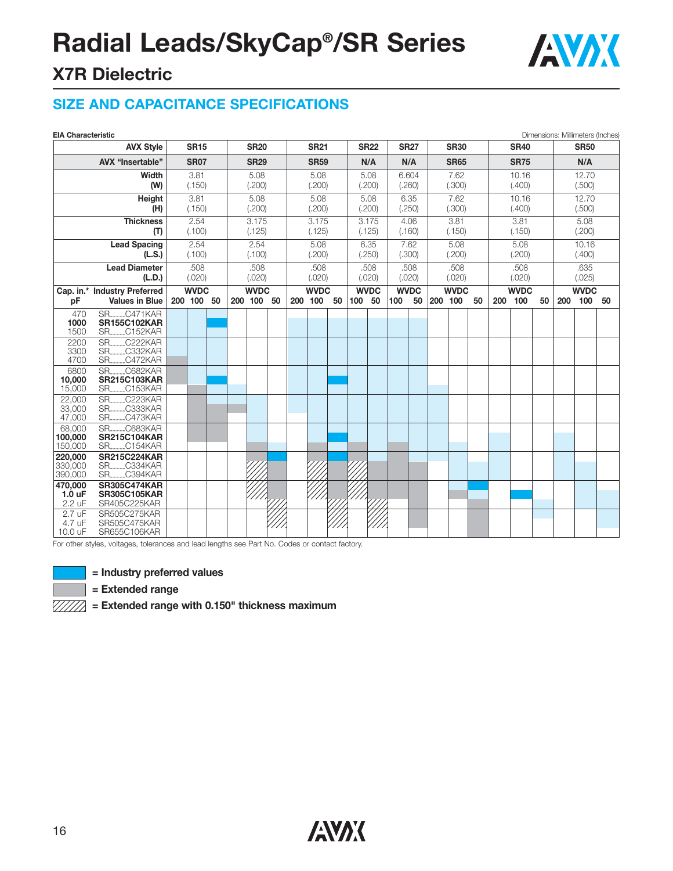

### **X7R Dielectric**

#### **SIZE AND CAPACITANCE SPECIFICATIONS**

|                              | <b>EIA Characteristic</b><br><b>AVX Style</b>                                 |                | <b>SR15</b> |             |                | <b>SR20</b> |             |                | <b>SR21</b> |             |                | <b>SR22</b> |                | <b>SR27</b> |                | <b>SR30</b> |    |                      | <b>SR40</b> |       |                 | Dimensions: Millimeters (Inches)<br><b>SR50</b> |    |
|------------------------------|-------------------------------------------------------------------------------|----------------|-------------|-------------|----------------|-------------|-------------|----------------|-------------|-------------|----------------|-------------|----------------|-------------|----------------|-------------|----|----------------------|-------------|-------|-----------------|-------------------------------------------------|----|
|                              | AVX "Insertable"<br><b>SR07</b>                                               |                |             |             |                |             | <b>SR59</b> |                |             |             | N/A            |             | N/A            | <b>SR65</b> |                |             |    |                      |             | N/A   |                 |                                                 |    |
|                              | Width                                                                         |                | 3.81        |             | <b>SR29</b>    |             |             |                |             |             |                |             | 6.604          |             | 7.62           |             |    | <b>SR75</b><br>10.16 |             | 12.70 |                 |                                                 |    |
|                              | (W)                                                                           |                | (.150)      |             | 5.08<br>(.200) |             |             | 5.08<br>(.200) |             |             | 5.08<br>(.200) |             |                | (.260)      |                | (.300)      |    | (.400)               |             |       | (.500)          |                                                 |    |
|                              | Height                                                                        |                | 3.81        |             |                | 5.08        |             |                | 5.08        |             |                | 5.08        |                | 6.35        |                | 7.62        |    |                      | 10.16       |       | 12.70           |                                                 |    |
|                              | (H)                                                                           |                | (.150)      |             |                | (.200)      |             |                | (.200)      |             |                | (.200)      |                | (.250)      |                | (.300)      |    |                      | (.400)      |       | (.500)          |                                                 |    |
|                              | <b>Thickness</b>                                                              |                | 2.54        |             |                | 3.175       |             |                | 3.175       |             |                | 3.175       |                | 4.06        |                | 3.81        |    |                      | 3.81        |       | 5.08            |                                                 |    |
|                              | (T)                                                                           |                | (.100)      |             |                | (.125)      |             |                | (.125)      |             |                | (.125)      | (.160)         |             |                | (.150)      |    |                      | (.150)      |       | (.200)          |                                                 |    |
|                              | Lead Spacing<br>(L.S.)                                                        | 2.54<br>(.100) |             |             | 2.54<br>(.100) |             |             | 5.08<br>(.200) |             |             | 6.35<br>(.250) |             | 7.62<br>(.300) |             | 5.08<br>(.200) |             |    | 5.08<br>(.200)       |             |       | 10.16<br>(.400) |                                                 |    |
|                              | <b>Lead Diameter</b>                                                          |                | .508        |             |                | .508        |             | .508           |             |             | .508           |             | .508           |             | .508           |             |    | .508                 |             |       | .635            |                                                 |    |
|                              | (L.D.)                                                                        |                | (.020)      |             |                | (.020)      |             |                | (.020)      |             |                | (.020)      |                | (.020)      |                | (.020)      |    | (.020)               |             |       | (.025)          |                                                 |    |
|                              | Cap. in.* Industry Preferred                                                  |                |             | <b>WVDC</b> |                |             | <b>WVDC</b> |                |             | <b>WVDC</b> |                | <b>WVDC</b> |                | <b>WVDC</b> |                | <b>WVDC</b> |    | <b>WVDC</b>          |             |       | <b>WVDC</b>     |                                                 |    |
| pF                           | <b>Values in Blue</b>                                                         |                | 200 100 50  |             |                | 200 100     | 50          |                | 200 100     | 50          | 100            | 50          | 100            | 50          | 200 100        |             | 50 | 200                  | 100         | 50    | 200             | 100                                             | 50 |
| 470<br>1000<br>1500          | <b>SR</b> <sub>-----</sub> C471KAR<br><b>SR155C102KAR</b><br><b>SRC152KAR</b> |                |             |             |                |             |             |                |             |             |                |             |                |             |                |             |    |                      |             |       |                 |                                                 |    |
| 2200                         | <b>SR</b><br>C222KAR                                                          |                |             |             |                |             |             |                |             |             |                |             |                |             |                |             |    |                      |             |       |                 |                                                 |    |
| 3300<br>4700                 | <b>SRC332KAR</b><br><b>SRC472KAR</b>                                          |                |             |             |                |             |             |                |             |             |                |             |                |             |                |             |    |                      |             |       |                 |                                                 |    |
| 6800<br>10,000<br>15,000     | SR.<br>.C682KAR<br><b>SR215C103KAR</b><br><b>SR</b> <sub></sub> C153KAR       |                |             |             |                |             |             |                |             |             |                |             |                |             |                |             |    |                      |             |       |                 |                                                 |    |
| 22,000                       | $SR$ <sub>----</sub><br>C223KAR                                               |                |             |             |                |             |             |                |             |             |                |             |                |             |                |             |    |                      |             |       |                 |                                                 |    |
| 33,000<br>47,000             | $SR$ <sub>----</sub><br>C333KAR<br><b>SRC473KAR</b>                           |                |             |             |                |             |             |                |             |             |                |             |                |             |                |             |    |                      |             |       |                 |                                                 |    |
| 68,000<br>100,000<br>150,000 | $SR$ <sub>----</sub><br>C683KAR<br><b>SR215C104KAR</b><br><b>SRC154KAR</b>    |                |             |             |                |             |             |                |             |             |                |             |                |             |                |             |    |                      |             |       |                 |                                                 |    |
| 220,000                      | <b>SR215C224KAR</b>                                                           |                |             |             |                |             |             |                |             |             |                |             |                |             |                |             |    |                      |             |       |                 |                                                 |    |
| 330,000<br>390,000           | <b>SRC334KAR</b><br>SR_____C394KAR                                            |                |             |             |                |             |             |                |             |             |                |             |                |             |                |             |    |                      |             |       |                 |                                                 |    |
| 470.000                      | <b>SR305C474KAR</b>                                                           |                |             |             |                |             |             |                |             |             |                |             |                |             |                |             |    |                      |             |       |                 |                                                 |    |
| $1.0 \text{ uF}$<br>2.2 uF   | <b>SR305C105KAR</b><br>SR405C225KAR                                           |                |             |             |                |             |             |                |             |             |                |             |                |             |                |             |    |                      |             |       |                 |                                                 |    |
| 2.7 uF<br>4.7 uF<br>10.0 uF  | SR505C275KAR<br>SR505C475KAR<br>SR655C106KAR                                  |                |             |             |                |             |             |                |             |             |                |             |                |             |                |             |    |                      |             |       |                 |                                                 |    |

For other styles, voltages, tolerances and lead lengths see Part No. Codes or contact factory.



**= Industry preferred values**

**= Extended range**

 $\sqrt{\frac{7}{12}}$  = Extended range with 0.150" thickness maximum